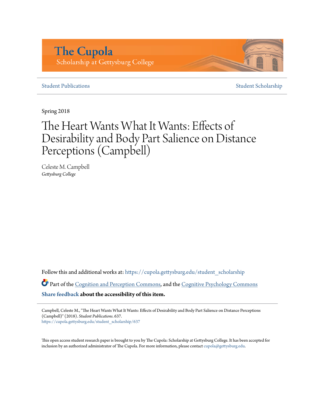# **The Cupola** Scholarship at Gettysburg College

#### **[Student Publications](https://cupola.gettysburg.edu/student_scholarship?utm_source=cupola.gettysburg.edu%2Fstudent_scholarship%2F637&utm_medium=PDF&utm_campaign=PDFCoverPages)** [Student Scholarship](https://cupola.gettysburg.edu/student?utm_source=cupola.gettysburg.edu%2Fstudent_scholarship%2F637&utm_medium=PDF&utm_campaign=PDFCoverPages)

Spring 2018

# The Heart Wants What It Wants: Effects of Desirability and Body Part Salience on Distance Perceptions (Campbell)

Celeste M. Campbell *Gettysburg College*

Follow this and additional works at: [https://cupola.gettysburg.edu/student\\_scholarship](https://cupola.gettysburg.edu/student_scholarship?utm_source=cupola.gettysburg.edu%2Fstudent_scholarship%2F637&utm_medium=PDF&utm_campaign=PDFCoverPages)

Part of the [Cognition and Perception Commons](http://network.bepress.com/hgg/discipline/407?utm_source=cupola.gettysburg.edu%2Fstudent_scholarship%2F637&utm_medium=PDF&utm_campaign=PDFCoverPages), and the [Cognitive Psychology Commons](http://network.bepress.com/hgg/discipline/408?utm_source=cupola.gettysburg.edu%2Fstudent_scholarship%2F637&utm_medium=PDF&utm_campaign=PDFCoverPages) **[Share feedback](https://docs.google.com/a/bepress.com/forms/d/1h9eEcpBPj5POs5oO6Y5A0blXRmZqykoonyYiZUNyEq8/viewform) about the accessibility of this item.**

Campbell, Celeste M., "The Heart Wants What It Wants: Effects of Desirability and Body Part Salience on Distance Perceptions (Campbell)" (2018). *Student Publications*. 637. [https://cupola.gettysburg.edu/student\\_scholarship/637](https://cupola.gettysburg.edu/student_scholarship/637?utm_source=cupola.gettysburg.edu%2Fstudent_scholarship%2F637&utm_medium=PDF&utm_campaign=PDFCoverPages)

This open access student research paper is brought to you by The Cupola: Scholarship at Gettysburg College. It has been accepted for inclusion by an authorized administrator of The Cupola. For more information, please contact [cupola@gettysburg.edu.](mailto:cupola@gettysburg.edu)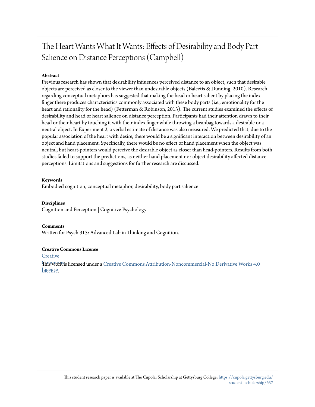## The Heart Wants What It Wants: Effects of Desirability and Body Part Salience on Distance Perceptions (Campbell)

#### **Abstract**

Previous research has shown that desirability influences perceived distance to an object, such that desirable objects are perceived as closer to the viewer than undesirable objects (Balcetis & Dunning, 2010). Research regarding conceptual metaphors has suggested that making the head or heart salient by placing the index finger there produces characteristics commonly associated with these body parts (i.e., emotionality for the heart and rationality for the head) (Fetterman & Robinson, 2013). The current studies examined the effects of desirability and head or heart salience on distance perception. Participants had their attention drawn to their head or their heart by touching it with their index finger while throwing a beanbag towards a desirable or a neutral object. In Experiment 2, a verbal estimate of distance was also measured. We predicted that, due to the popular association of the heart with desire, there would be a significant interaction between desirability of an object and hand placement. Specifically, there would be no effect of hand placement when the object was neutral, but heart-pointers would perceive the desirable object as closer than head-pointers. Results from both studies failed to support the predictions, as neither hand placement nor object desirability affected distance perceptions. Limitations and suggestions for further research are discussed.

#### **Keywords**

Embodied cognition, conceptual metaphor, desirability, body part salience

#### **Disciplines**

Cognition and Perception | Cognitive Psychology

**Comments** Written for Psych 315: Advanced Lab in Thinking and Cognition.

#### **Creative Commons License**

**[Creative](https://creativecommons.org/licenses/by-nc-nd/4.0/)** 

**This work is licensed under a** [Creative Commons Attribution-Noncommercial-No Derivative Works 4.0](https://creativecommons.org/licenses/by-nc-nd/4.0/) License [License.](https://creativecommons.org/licenses/by-nc-nd/4.0/)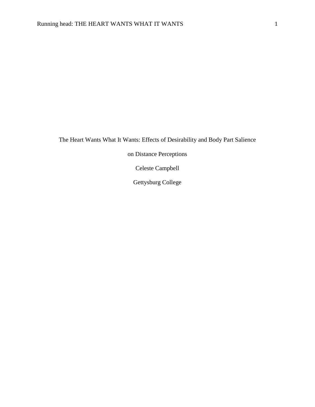The Heart Wants What It Wants: Effects of Desirability and Body Part Salience

on Distance Perceptions

Celeste Campbell

Gettysburg College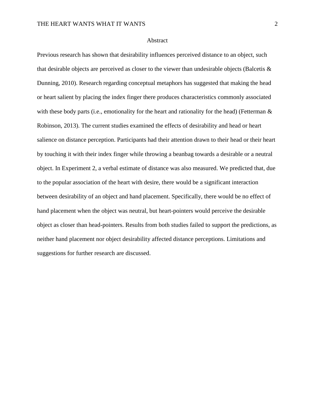#### Abstract

Previous research has shown that desirability influences perceived distance to an object, such that desirable objects are perceived as closer to the viewer than undesirable objects (Balcetis  $\&$ Dunning, 2010). Research regarding conceptual metaphors has suggested that making the head or heart salient by placing the index finger there produces characteristics commonly associated with these body parts (i.e., emotionality for the heart and rationality for the head) (Fetterman  $\&$ Robinson, 2013). The current studies examined the effects of desirability and head or heart salience on distance perception. Participants had their attention drawn to their head or their heart by touching it with their index finger while throwing a beanbag towards a desirable or a neutral object. In Experiment 2, a verbal estimate of distance was also measured. We predicted that, due to the popular association of the heart with desire, there would be a significant interaction between desirability of an object and hand placement. Specifically, there would be no effect of hand placement when the object was neutral, but heart-pointers would perceive the desirable object as closer than head-pointers. Results from both studies failed to support the predictions, as neither hand placement nor object desirability affected distance perceptions. Limitations and suggestions for further research are discussed.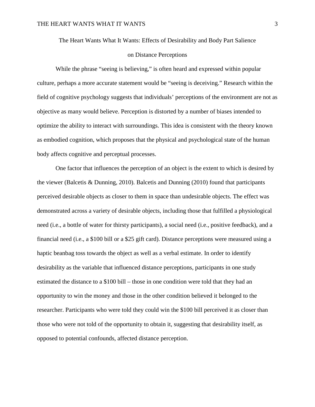#### The Heart Wants What It Wants: Effects of Desirability and Body Part Salience

#### on Distance Perceptions

While the phrase "seeing is believing," is often heard and expressed within popular culture, perhaps a more accurate statement would be "seeing is deceiving." Research within the field of cognitive psychology suggests that individuals' perceptions of the environment are not as objective as many would believe. Perception is distorted by a number of biases intended to optimize the ability to interact with surroundings. This idea is consistent with the theory known as embodied cognition, which proposes that the physical and psychological state of the human body affects cognitive and perceptual processes.

 One factor that influences the perception of an object is the extent to which is desired by the viewer (Balcetis & Dunning, 2010). Balcetis and Dunning (2010) found that participants perceived desirable objects as closer to them in space than undesirable objects. The effect was demonstrated across a variety of desirable objects, including those that fulfilled a physiological need (i.e., a bottle of water for thirsty participants), a social need (i.e., positive feedback), and a financial need (i.e., a \$100 bill or a \$25 gift card). Distance perceptions were measured using a haptic beanbag toss towards the object as well as a verbal estimate. In order to identify desirability as the variable that influenced distance perceptions, participants in one study estimated the distance to a \$100 bill – those in one condition were told that they had an opportunity to win the money and those in the other condition believed it belonged to the researcher. Participants who were told they could win the \$100 bill perceived it as closer than those who were not told of the opportunity to obtain it, suggesting that desirability itself, as opposed to potential confounds, affected distance perception.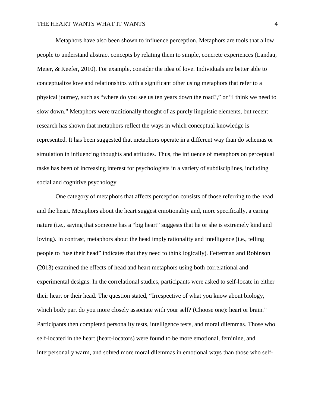Metaphors have also been shown to influence perception. Metaphors are tools that allow people to understand abstract concepts by relating them to simple, concrete experiences (Landau, Meier, & Keefer, 2010). For example, consider the idea of love. Individuals are better able to conceptualize love and relationships with a significant other using metaphors that refer to a physical journey, such as "where do you see us ten years down the road?," or "I think we need to slow down." Metaphors were traditionally thought of as purely linguistic elements, but recent research has shown that metaphors reflect the ways in which conceptual knowledge is represented. It has been suggested that metaphors operate in a different way than do schemas or simulation in influencing thoughts and attitudes. Thus, the influence of metaphors on perceptual tasks has been of increasing interest for psychologists in a variety of subdisciplines, including social and cognitive psychology.

 One category of metaphors that affects perception consists of those referring to the head and the heart. Metaphors about the heart suggest emotionality and, more specifically, a caring nature (i.e., saying that someone has a "big heart" suggests that he or she is extremely kind and loving). In contrast, metaphors about the head imply rationality and intelligence (i.e., telling people to "use their head" indicates that they need to think logically). Fetterman and Robinson (2013) examined the effects of head and heart metaphors using both correlational and experimental designs. In the correlational studies, participants were asked to self-locate in either their heart or their head. The question stated, "Irrespective of what you know about biology, which body part do you more closely associate with your self? (Choose one): heart or brain." Participants then completed personality tests, intelligence tests, and moral dilemmas. Those who self-located in the heart (heart-locators) were found to be more emotional, feminine, and interpersonally warm, and solved more moral dilemmas in emotional ways than those who self-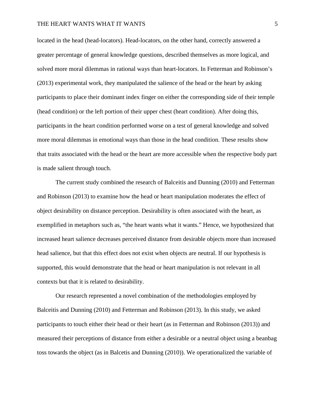#### THE HEART WANTS WHAT IT WANTS **FOLLOWING THE HEART** WANTS

located in the head (head-locators). Head-locators, on the other hand, correctly answered a greater percentage of general knowledge questions, described themselves as more logical, and solved more moral dilemmas in rational ways than heart-locators. In Fetterman and Robinson's (2013) experimental work, they manipulated the salience of the head or the heart by asking participants to place their dominant index finger on either the corresponding side of their temple (head condition) or the left portion of their upper chest (heart condition). After doing this, participants in the heart condition performed worse on a test of general knowledge and solved more moral dilemmas in emotional ways than those in the head condition. These results show that traits associated with the head or the heart are more accessible when the respective body part is made salient through touch.

 The current study combined the research of Balceitis and Dunning (2010) and Fetterman and Robinson (2013) to examine how the head or heart manipulation moderates the effect of object desirability on distance perception. Desirability is often associated with the heart, as exemplified in metaphors such as, "the heart wants what it wants." Hence, we hypothesized that increased heart salience decreases perceived distance from desirable objects more than increased head salience, but that this effect does not exist when objects are neutral. If our hypothesis is supported, this would demonstrate that the head or heart manipulation is not relevant in all contexts but that it is related to desirability.

 Our research represented a novel combination of the methodologies employed by Balceitis and Dunning (2010) and Fetterman and Robinson (2013). In this study, we asked participants to touch either their head or their heart (as in Fetterman and Robinson (2013)) and measured their perceptions of distance from either a desirable or a neutral object using a beanbag toss towards the object (as in Balcetis and Dunning (2010)). We operationalized the variable of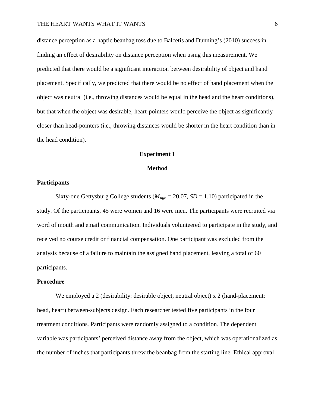distance perception as a haptic beanbag toss due to Balcetis and Dunning's (2010) success in finding an effect of desirability on distance perception when using this measurement. We predicted that there would be a significant interaction between desirability of object and hand placement. Specifically, we predicted that there would be no effect of hand placement when the object was neutral (i.e., throwing distances would be equal in the head and the heart conditions), but that when the object was desirable, heart-pointers would perceive the object as significantly closer than head-pointers (i.e., throwing distances would be shorter in the heart condition than in the head condition).

#### **Experiment 1**

#### **Method**

#### **Participants**

Sixty-one Gettysburg College students ( $M_{age} = 20.07$ ,  $SD = 1.10$ ) participated in the study. Of the participants, 45 were women and 16 were men. The participants were recruited via word of mouth and email communication. Individuals volunteered to participate in the study, and received no course credit or financial compensation. One participant was excluded from the analysis because of a failure to maintain the assigned hand placement, leaving a total of 60 participants.

#### **Procedure**

We employed a 2 (desirability: desirable object, neutral object) x 2 (hand-placement: head, heart) between-subjects design. Each researcher tested five participants in the four treatment conditions. Participants were randomly assigned to a condition. The dependent variable was participants' perceived distance away from the object, which was operationalized as the number of inches that participants threw the beanbag from the starting line. Ethical approval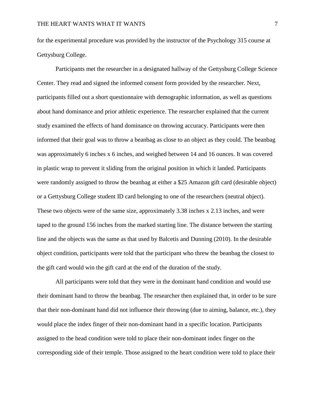for the experimental procedure was provided by the instructor of the Psychology 315 course at Gettysburg College.

Participants met the researcher in a designated hallway of the Gettysburg College Science Center. They read and signed the informed consent form provided by the researcher. Next, participants filled out a short questionnaire with demographic information, as well as questions about hand dominance and prior athletic experience. The researcher explained that the current study examined the effects of hand dominance on throwing accuracy. Participants were then informed that their goal was to throw a beanbag as close to an object as they could. The beanbag was approximately 6 inches x 6 inches, and weighed between 14 and 16 ounces. It was covered in plastic wrap to prevent it sliding from the original position in which it landed. Participants were randomly assigned to throw the beanbag at either a \$25 Amazon gift card (desirable object) or a Gettysburg College student ID card belonging to one of the researchers (neutral object). These two objects were of the same size, approximately 3.38 inches x 2.13 inches, and were taped to the ground 156 inches from the marked starting line. The distance between the starting line and the objects was the same as that used by Balcetis and Dunning (2010). In the desirable object condition, participants were told that the participant who threw the beanbag the closest to the gift card would win the gift card at the end of the duration of the study.

All participants were told that they were in the dominant hand condition and would use their dominant hand to throw the beanbag. The researcher then explained that, in order to be sure that their non-dominant hand did not influence their throwing (due to aiming, balance, etc.), they would place the index finger of their non-dominant hand in a specific location. Participants assigned to the head condition were told to place their non-dominant index finger on the corresponding side of their temple. Those assigned to the heart condition were told to place their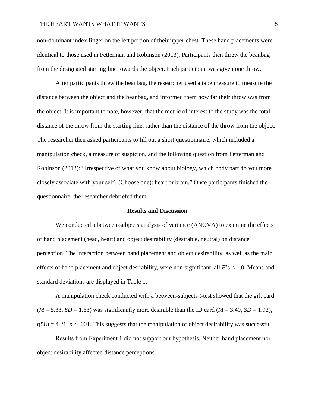#### THE HEART WANTS WHAT IT WANTS  $\sim$

non-dominant index finger on the left portion of their upper chest. These hand placements were identical to those used in Fetterman and Robinson (2013). Participants then threw the beanbag from the designated starting line towards the object. Each participant was given one throw.

After participants threw the beanbag, the researcher used a tape measure to measure the distance between the object and the beanbag, and informed them how far their throw was from the object. It is important to note, however, that the metric of interest to the study was the total distance of the throw from the starting line, rather than the distance of the throw from the object. The researcher then asked participants to fill out a short questionnaire, which included a manipulation check, a measure of suspicion, and the following question from Fetterman and Robinson (2013): "Irrespective of what you know about biology, which body part do you more closely associate with your self? (Choose one): heart or brain." Once participants finished the questionnaire, the researcher debriefed them.

#### **Results and Discussion**

We conducted a between-subjects analysis of variance (ANOVA) to examine the effects of hand placement (head, heart) and object desirability (desirable, neutral) on distance perception. The interaction between hand placement and object desirability, as well as the main effects of hand placement and object desirability, were non-significant, all *F*'s < 1.0. Means and standard deviations are displayed in Table 1.

A manipulation check conducted with a between-subjects *t*-test showed that the gift card  $(M = 5.33, SD = 1.63)$  was significantly more desirable than the ID card  $(M = 3.40, SD = 1.92)$ ,  $t(58) = 4.21$ ,  $p < .001$ . This suggests that the manipulation of object desirability was successful.

Results from Experiment 1 did not support our hypothesis. Neither hand placement nor object desirability affected distance perceptions.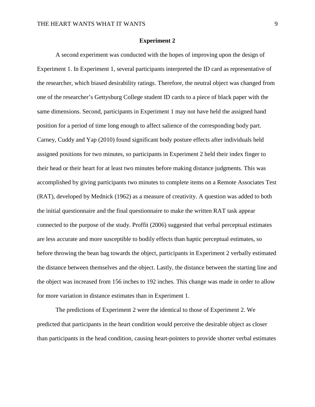#### **Experiment 2**

A second experiment was conducted with the hopes of improving upon the design of Experiment 1. In Experiment 1, several participants interpreted the ID card as representative of the researcher, which biased desirability ratings. Therefore, the neutral object was changed from one of the researcher's Gettysburg College student ID cards to a piece of black paper with the same dimensions. Second, participants in Experiment 1 may not have held the assigned hand position for a period of time long enough to affect salience of the corresponding body part. Carney, Cuddy and Yap (2010) found significant body posture effects after individuals held assigned positions for two minutes, so participants in Experiment 2 held their index finger to their head or their heart for at least two minutes before making distance judgments. This was accomplished by giving participants two minutes to complete items on a Remote Associates Test (RAT), developed by Mednick (1962) as a measure of creativity. A question was added to both the initial questionnaire and the final questionnaire to make the written RAT task appear connected to the purpose of the study. Proffit (2006) suggested that verbal perceptual estimates are less accurate and more susceptible to bodily effects than haptic perceptual estimates, so before throwing the bean bag towards the object, participants in Experiment 2 verbally estimated the distance between themselves and the object. Lastly, the distance between the starting line and the object was increased from 156 inches to 192 inches. This change was made in order to allow for more variation in distance estimates than in Experiment 1.

The predictions of Experiment 2 were the identical to those of Experiment 2. We predicted that participants in the heart condition would perceive the desirable object as closer than participants in the head condition, causing heart-pointers to provide shorter verbal estimates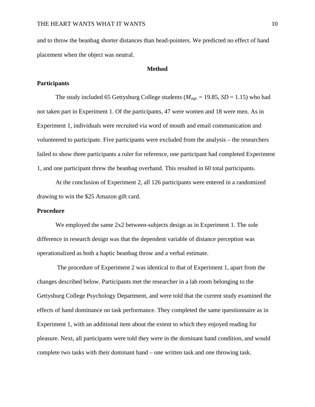and to throw the beanbag shorter distances than head-pointers. We predicted no effect of hand placement when the object was neutral.

#### **Method**

#### **Participants**

The study included 65 Gettysburg College students ( $M_{age} = 19.85$ ,  $SD = 1.15$ ) who had not taken part in Experiment 1. Of the participants, 47 were women and 18 were men. As in Experiment 1, individuals were recruited via word of mouth and email communication and volunteered to participate. Five participants were excluded from the analysis – the researchers failed to show three participants a ruler for reference, one participant had completed Experiment 1, and one participant threw the beanbag overhand. This resulted in 60 total participants.

At the conclusion of Experiment 2, all 126 participants were entered in a randomized drawing to win the \$25 Amazon gift card.

#### **Procedure**

We employed the same 2x2 between-subjects design as in Experiment 1. The sole difference in research design was that the dependent variable of distance perception was operationalized as both a haptic beanbag throw and a verbal estimate.

The procedure of Experiment 2 was identical to that of Experiment 1, apart from the changes described below. Participants met the researcher in a lab room belonging to the Gettysburg College Psychology Department, and were told that the current study examined the effects of hand dominance on task performance. They completed the same questionnaire as in Experiment 1, with an additional item about the extent to which they enjoyed reading for pleasure. Next, all participants were told they were in the dominant hand condition, and would complete two tasks with their dominant hand – one written task and one throwing task.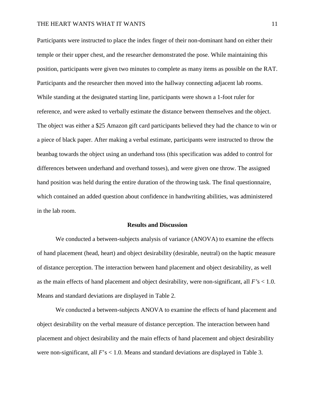Participants were instructed to place the index finger of their non-dominant hand on either their temple or their upper chest, and the researcher demonstrated the pose. While maintaining this position, participants were given two minutes to complete as many items as possible on the RAT. Participants and the researcher then moved into the hallway connecting adjacent lab rooms. While standing at the designated starting line, participants were shown a 1-foot ruler for reference, and were asked to verbally estimate the distance between themselves and the object. The object was either a \$25 Amazon gift card participants believed they had the chance to win or a piece of black paper. After making a verbal estimate, participants were instructed to throw the beanbag towards the object using an underhand toss (this specification was added to control for differences between underhand and overhand tosses), and were given one throw. The assigned hand position was held during the entire duration of the throwing task. The final questionnaire, which contained an added question about confidence in handwriting abilities, was administered in the lab room.

#### **Results and Discussion**

We conducted a between-subjects analysis of variance (ANOVA) to examine the effects of hand placement (head, heart) and object desirability (desirable, neutral) on the haptic measure of distance perception. The interaction between hand placement and object desirability, as well as the main effects of hand placement and object desirability, were non-significant, all *F'*s < 1.0. Means and standard deviations are displayed in Table 2.

We conducted a between-subjects ANOVA to examine the effects of hand placement and object desirability on the verbal measure of distance perception. The interaction between hand placement and object desirability and the main effects of hand placement and object desirability were non-significant, all  $F$ 's  $< 1.0$ . Means and standard deviations are displayed in Table 3.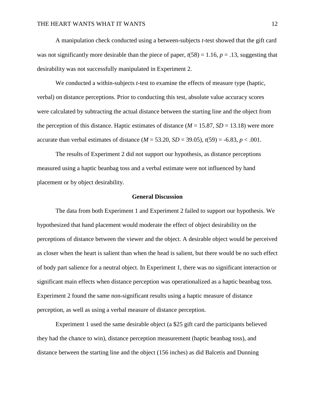A manipulation check conducted using a between-subjects *t*-test showed that the gift card was not significantly more desirable than the piece of paper,  $t(58) = 1.16$ ,  $p = .13$ , suggesting that desirability was not successfully manipulated in Experiment 2.

We conducted a within-subjects *t*-test to examine the effects of measure type (haptic, verbal) on distance perceptions. Prior to conducting this test, absolute value accuracy scores were calculated by subtracting the actual distance between the starting line and the object from the perception of this distance. Haptic estimates of distance  $(M = 15.87, SD = 13.18)$  were more accurate than verbal estimates of distance  $(M = 53.20, SD = 39.05)$ ,  $t(59) = -6.83, p < .001$ .

The results of Experiment 2 did not support our hypothesis, as distance perceptions measured using a haptic beanbag toss and a verbal estimate were not influenced by hand placement or by object desirability.

#### **General Discussion**

The data from both Experiment 1 and Experiment 2 failed to support our hypothesis. We hypothesized that hand placement would moderate the effect of object desirability on the perceptions of distance between the viewer and the object. A desirable object would be perceived as closer when the heart is salient than when the head is salient, but there would be no such effect of body part salience for a neutral object. In Experiment 1, there was no significant interaction or significant main effects when distance perception was operationalized as a haptic beanbag toss. Experiment 2 found the same non-significant results using a haptic measure of distance perception, as well as using a verbal measure of distance perception.

Experiment 1 used the same desirable object (a \$25 gift card the participants believed they had the chance to win), distance perception measurement (haptic beanbag toss), and distance between the starting line and the object (156 inches) as did Balcetis and Dunning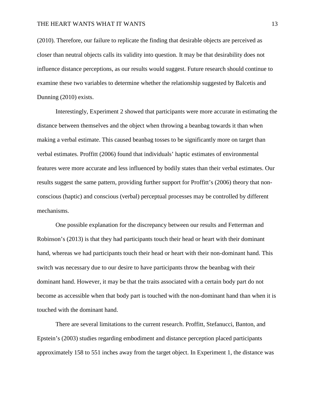(2010). Therefore, our failure to replicate the finding that desirable objects are perceived as closer than neutral objects calls its validity into question. It may be that desirability does not influence distance perceptions, as our results would suggest. Future research should continue to examine these two variables to determine whether the relationship suggested by Balcetis and Dunning (2010) exists.

Interestingly, Experiment 2 showed that participants were more accurate in estimating the distance between themselves and the object when throwing a beanbag towards it than when making a verbal estimate. This caused beanbag tosses to be significantly more on target than verbal estimates. Proffitt (2006) found that individuals' haptic estimates of environmental features were more accurate and less influenced by bodily states than their verbal estimates. Our results suggest the same pattern, providing further support for Proffitt's (2006) theory that nonconscious (haptic) and conscious (verbal) perceptual processes may be controlled by different mechanisms.

One possible explanation for the discrepancy between our results and Fetterman and Robinson's (2013) is that they had participants touch their head or heart with their dominant hand, whereas we had participants touch their head or heart with their non-dominant hand. This switch was necessary due to our desire to have participants throw the beanbag with their dominant hand. However, it may be that the traits associated with a certain body part do not become as accessible when that body part is touched with the non-dominant hand than when it is touched with the dominant hand.

There are several limitations to the current research. Proffitt, Stefanucci, Banton, and Epstein's (2003) studies regarding embodiment and distance perception placed participants approximately 158 to 551 inches away from the target object. In Experiment 1, the distance was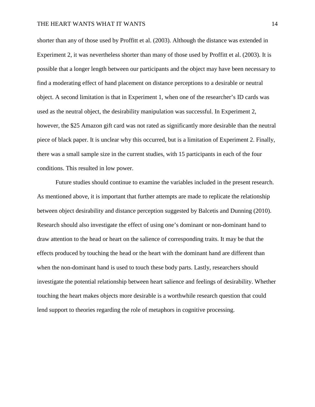shorter than any of those used by Proffitt et al. (2003). Although the distance was extended in Experiment 2, it was nevertheless shorter than many of those used by Proffitt et al. (2003). It is possible that a longer length between our participants and the object may have been necessary to find a moderating effect of hand placement on distance perceptions to a desirable or neutral object. A second limitation is that in Experiment 1, when one of the researcher's ID cards was used as the neutral object, the desirability manipulation was successful. In Experiment 2, however, the \$25 Amazon gift card was not rated as significantly more desirable than the neutral piece of black paper. It is unclear why this occurred, but is a limitation of Experiment 2. Finally, there was a small sample size in the current studies, with 15 participants in each of the four conditions. This resulted in low power.

Future studies should continue to examine the variables included in the present research. As mentioned above, it is important that further attempts are made to replicate the relationship between object desirability and distance perception suggested by Balcetis and Dunning (2010). Research should also investigate the effect of using one's dominant or non-dominant hand to draw attention to the head or heart on the salience of corresponding traits. It may be that the effects produced by touching the head or the heart with the dominant hand are different than when the non-dominant hand is used to touch these body parts. Lastly, researchers should investigate the potential relationship between heart salience and feelings of desirability. Whether touching the heart makes objects more desirable is a worthwhile research question that could lend support to theories regarding the role of metaphors in cognitive processing.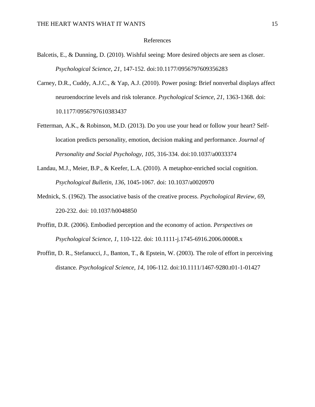#### References

- Balcetis, E., & Dunning, D. (2010). Wishful seeing: More desired objects are seen as closer. *Psychological Science, 21,* 147-152. doi:10.1177/0956797609356283
- Carney, D.R., Cuddy, A.J.C., & Yap, A.J. (2010). Power posing: Brief nonverbal displays affect neuroendocrine levels and risk tolerance. *Psychological Science*, *21*, 1363-1368. doi: 10.1177/0956797610383437
- Fetterman, A.K., & Robinson, M.D. (2013). Do you use your head or follow your heart? Selflocation predicts personality, emotion, decision making and performance. *Journal of Personality and Social Psychology, 105,* 316-334. doi:10.1037/a0033374
- Landau, M.J., Meier, B.P., & Keefer, L.A. (2010). A metaphor-enriched social cognition. *Psychological Bulletin, 136,* 1045-1067. doi: 10.1037/a0020970
- Mednick, S. (1962). The associative basis of the creative process. *Psychological Review, 69*, 220-232. doi: 10.1037/h0048850
- Proffitt, D.R. (2006). Embodied perception and the economy of action. *Perspectives on Psychological Science*, *1*, 110-122. doi: 10.1111-j.1745-6916.2006.00008.x
- Proffitt, D. R., Stefanucci, J., Banton, T., & Epstein, W. (2003). The role of effort in perceiving distance*. Psychological Science, 14*, 106-112. doi:10.1111/1467-9280.t01-1-01427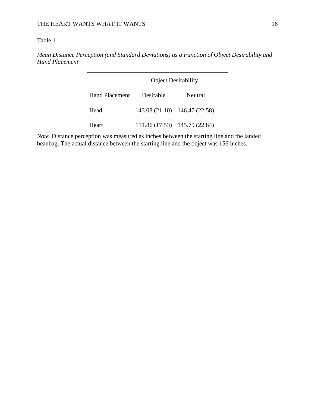### Table 1

*Mean Distance Perception (and Standard Deviations) as a Function of Object Desirability and Hand Placement*

|                       | <b>Object Desirability</b> |                               |  |
|-----------------------|----------------------------|-------------------------------|--|
| <b>Hand Placement</b> | Desirable                  | Neutral                       |  |
| Head                  |                            | 143.08 (21.10) 146.47 (22.58) |  |
| Heart                 |                            | 151.86 (17.53) 145.79 (22.84) |  |

*Note*. Distance perception was measured as inches between the starting line and the landed beanbag. The actual distance between the starting line and the object was 156 inches.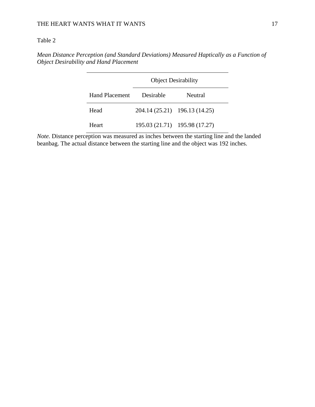#### Table 2

*Mean Distance Perception (and Standard Deviations) Measured Haptically as a Function of Object Desirability and Hand Placement*

|                       | <b>Object Desirability</b>    |         |  |
|-----------------------|-------------------------------|---------|--|
| <b>Hand Placement</b> | Desirable                     | Neutral |  |
| Head                  | 204.14 (25.21) 196.13 (14.25) |         |  |
| Heart                 | 195.03 (21.71) 195.98 (17.27) |         |  |

*Note.* Distance perception was measured as inches between the starting line and the landed beanbag. The actual distance between the starting line and the object was 192 inches.